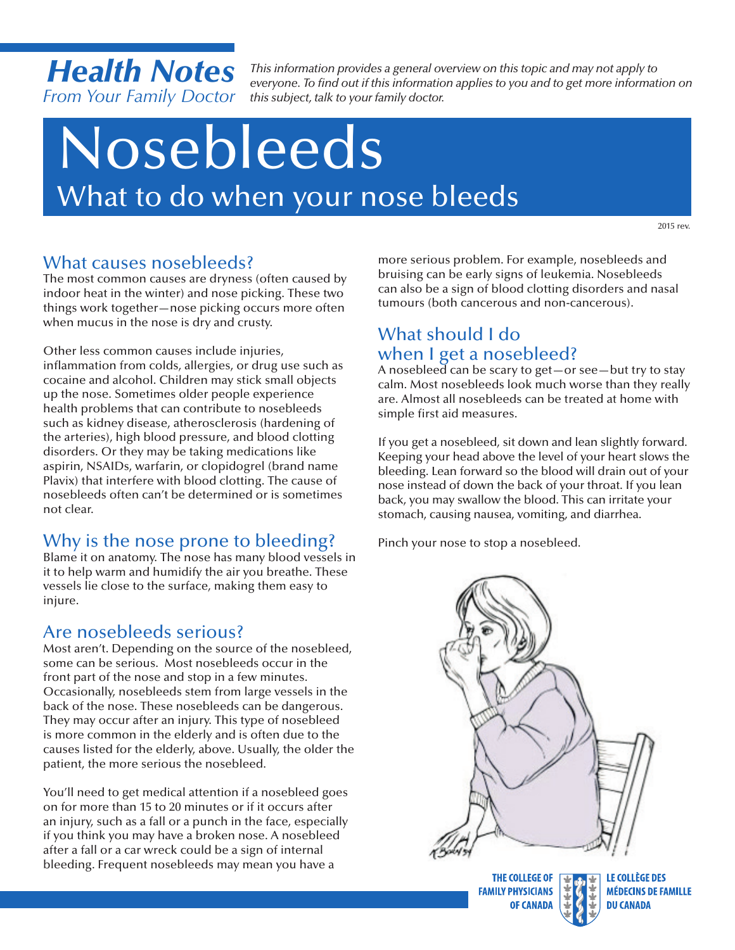*Health Notes From Your Family Doctor this subject, talk to your family doctor.*

*This information provides a general overview on this topic and may not apply to everyone. To find out if this information applies to you and to get more information on* 

# Nosebleeds What to do when your nose bleeds

2015 rev.

### What causes nosebleeds?

The most common causes are dryness (often caused by indoor heat in the winter) and nose picking. These two things work together—nose picking occurs more often when mucus in the nose is dry and crusty.

Other less common causes include injuries, inflammation from colds, allergies, or drug use such as cocaine and alcohol. Children may stick small objects up the nose. Sometimes older people experience health problems that can contribute to nosebleeds such as kidney disease, atherosclerosis (hardening of the arteries), high blood pressure, and blood clotting disorders. Or they may be taking medications like aspirin, NSAIDs, warfarin, or clopidogrel (brand name Plavix) that interfere with blood clotting. The cause of nosebleeds often can't be determined or is sometimes not clear.

# Why is the nose prone to bleeding?

Blame it on anatomy. The nose has many blood vessels in it to help warm and humidify the air you breathe. These vessels lie close to the surface, making them easy to injure.

# Are nosebleeds serious?

Most aren't. Depending on the source of the nosebleed, some can be serious. Most nosebleeds occur in the front part of the nose and stop in a few minutes. Occasionally, nosebleeds stem from large vessels in the back of the nose. These nosebleeds can be dangerous. They may occur after an injury. This type of nosebleed is more common in the elderly and is often due to the causes listed for the elderly, above. Usually, the older the patient, the more serious the nosebleed.

You'll need to get medical attention if a nosebleed goes on for more than 15 to 20 minutes or if it occurs after an injury, such as a fall or a punch in the face, especially if you think you may have a broken nose. A nosebleed after a fall or a car wreck could be a sign of internal bleeding. Frequent nosebleeds may mean you have a

more serious problem. For example, nosebleeds and bruising can be early signs of leukemia. Nosebleeds can also be a sign of blood clotting disorders and nasal tumours (both cancerous and non-cancerous).

# What should I do when I get a nosebleed?

A nosebleed can be scary to get—or see—but try to stay calm. Most nosebleeds look much worse than they really are. Almost all nosebleeds can be treated at home with simple first aid measures.

If you get a nosebleed, sit down and lean slightly forward. Keeping your head above the level of your heart slows the bleeding. Lean forward so the blood will drain out of your nose instead of down the back of your throat. If you lean back, you may swallow the blood. This can irritate your stomach, causing nausea, vomiting, and diarrhea.

Pinch your nose to stop a nosebleed.



THE COLLEGE OF **FAMILY PHYSICIANS OF CANADA**